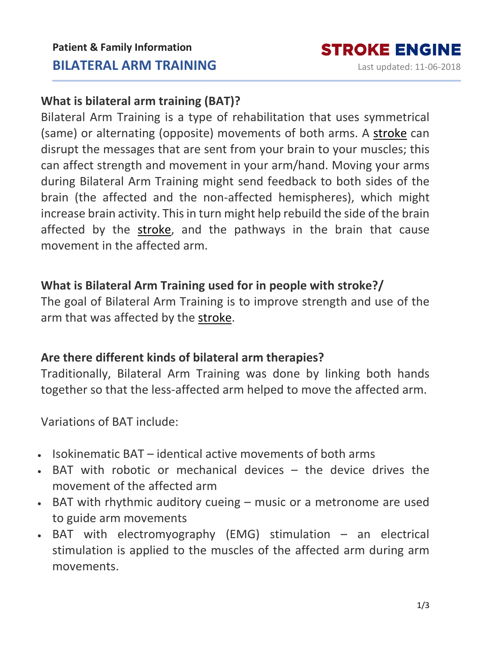# **What is bilateral arm training (BAT)?**

Bilateral Arm Training is a type of rehabilitation that uses symmetrical (same) or alternating (opposite) movements of both arms. A [stroke](https://www.strokengine.ca/en/glossary/stroke/) can disrupt the messages that are sent from your brain to your muscles; this can affect strength and movement in your arm/hand. Moving your arms during Bilateral Arm Training might send feedback to both sides of the brain (the affected and the non-affected hemispheres), which might increase brain activity. This in turn might help rebuild the side of the brain affected by the [stroke,](https://www.strokengine.ca/en/glossary/stroke/) and the pathways in the brain that cause movement in the affected arm.

## **What is Bilateral Arm Training used for in people with stroke?/**

The goal of Bilateral Arm Training is to improve strength and use of the arm that was affected by the [stroke.](https://www.strokengine.ca/en/glossary/stroke/)

## **Are there different kinds of bilateral arm therapies?**

Traditionally, Bilateral Arm Training was done by linking both hands together so that the less-affected arm helped to move the affected arm.

Variations of BAT include:

- Isokinematic BAT identical active movements of both arms
- BAT with robotic or mechanical devices the device drives the movement of the affected arm
- BAT with rhythmic auditory cueing music or a metronome are used to guide arm movements
- BAT with electromyography (EMG) stimulation an electrical stimulation is applied to the muscles of the affected arm during arm movements.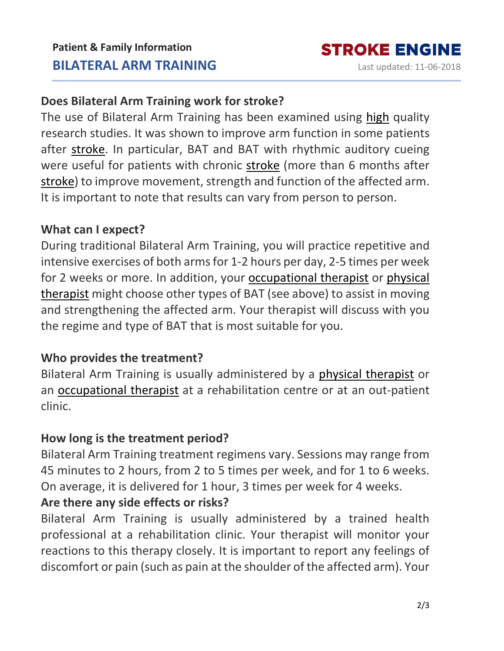## **Does Bilateral Arm Training work for stroke?**

The use of Bilateral Arm Training has been examined using [high](https://www.strokengine.ca/en/glossary/pedro-score/) quality research studies. It was shown to improve arm function in some patients after [stroke.](https://www.strokengine.ca/en/glossary/stroke/) In particular, BAT and BAT with rhythmic auditory cueing were useful for patients with chronic [stroke](https://www.strokengine.ca/en/glossary/stroke/) (more than 6 months after [stroke\)](https://www.strokengine.ca/en/glossary/stroke/) to improve movement, strength and function of the affected arm. It is important to note that results can vary from person to person.

### **What can I expect?**

During traditional Bilateral Arm Training, you will practice repetitive and intensive exercises of both arms for 1-2 hours per day, 2-5 times per week for 2 weeks or more. In addition, your [occupational](https://www.strokengine.ca/en/glossary/occupational-therapist/) therapist or [physical](https://www.strokengine.ca/en/glossary/physical-therapist/) [therapist](https://www.strokengine.ca/en/glossary/physical-therapist/) might choose other types of BAT (see above) to assist in moving and strengthening the affected arm. Your therapist will discuss with you the regime and type of BAT that is most suitable for you.

## **Who provides the treatment?**

Bilateral Arm Training is usually administered by a physical [therapist](https://www.strokengine.ca/en/glossary/physical-therapist/) or an [occupational](https://www.strokengine.ca/en/glossary/occupational-therapist/) therapist at a rehabilitation centre or at an out-patient clinic.

## **How long is the treatment period?**

Bilateral Arm Training treatment regimens vary. Sessions may range from 45 minutes to 2 hours, from 2 to 5 times per week, and for 1 to 6 weeks. On average, it is delivered for 1 hour, 3 times per week for 4 weeks.

## **Are there any side effects or risks?**

Bilateral Arm Training is usually administered by a trained health professional at a rehabilitation clinic. Your therapist will monitor your reactions to this therapy closely. It is important to report any feelings of discomfort or pain (such as pain at the shoulder of the affected arm). Your